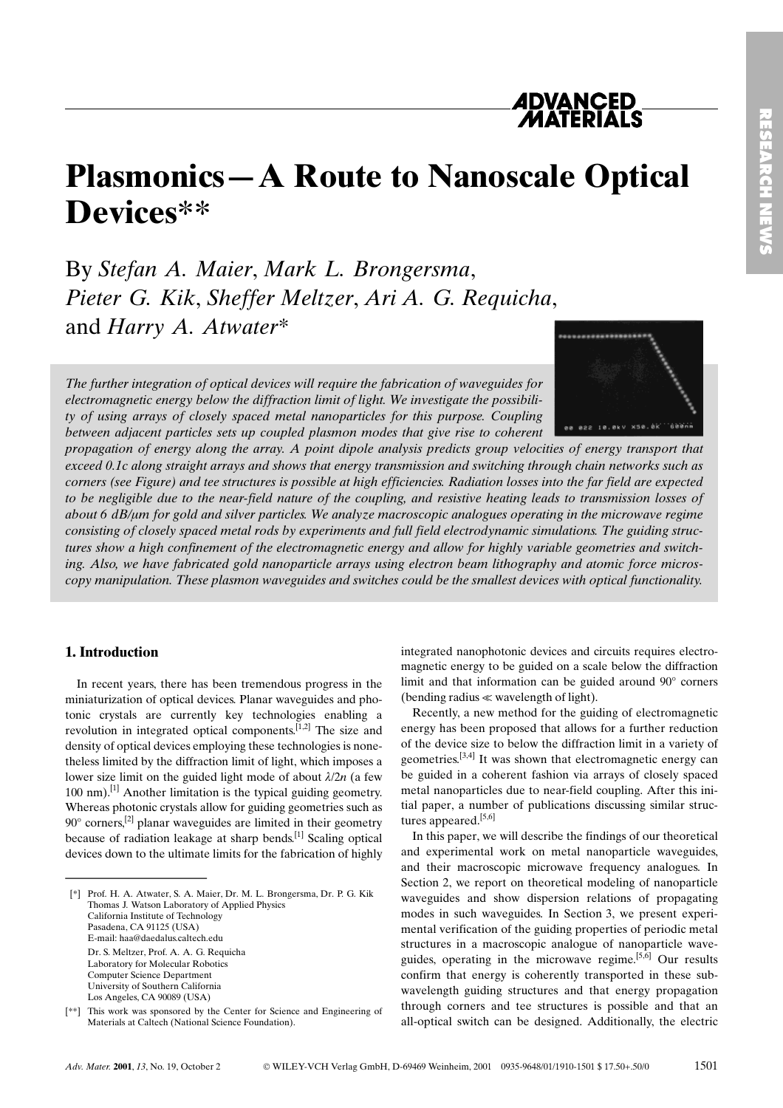# *ADVANCED<br>MATERIALS*

# Plasmonics - A Route to Nanoscale Optical Devices\*\*

By Stefan A. Maier, Mark L. Brongersma, Pieter G. Kik, Sheffer Meltzer, Ari A. G. Requicha, and Harry A. Atwater\*

The further integration of optical devices will require the fabrication of waveguides for electromagnetic energy below the diffraction limit of light. We investigate the possibility of using arrays of closely spaced metal nanoparticles for this purpose. Coupling between adjacent particles sets up coupled plasmon modes that give rise to coherent

propagation of energy along the array. A point dipole analysis predicts group velocities of energy transport that exceed 0.1c along straight arrays and shows that energy transmission and switching through chain networks such as corners (see Figure) and tee structures is possible at high efficiencies. Radiation losses into the far field are expected to be negligible due to the near-field nature of the coupling, and resistive heating leads to transmission losses of about 6 dB/um for gold and silver particles. We analyze macroscopic analogues operating in the microwave regime consisting of closely spaced metal rods by experiments and full field electrodynamic simulations. The guiding structures show a high confinement of the electromagnetic energy and allow for highly variable geometries and switching. Also, we have fabricated gold nanoparticle arrays using electron beam lithography and atomic force microscopy manipulation. These plasmon waveguides and switches could be the smallest devices with optical functionality.

#### 1. Introduction

In recent years, there has been tremendous progress in the miniaturization of optical devices. Planar waveguides and photonic crystals are currently key technologies enabling a revolution in integrated optical components.<sup>[1,2]</sup> The size and density of optical devices employing these technologies is nonetheless limited by the diffraction limit of light, which imposes a lower size limit on the guided light mode of about  $\lambda/2n$  (a few 100 nm).<sup>[1]</sup> Another limitation is the typical guiding geometry. Whereas photonic crystals allow for guiding geometries such as  $90^\circ$  corners,<sup>[2]</sup> planar waveguides are limited in their geometry because of radiation leakage at sharp bends.<sup>[1]</sup> Scaling optical devices down to the ultimate limits for the fabrication of highly In recent years, there has<br>miniaturization of optical de<br>tonic crystals are current<br>revolution in integrated op<br>density of optical devices em<br>theless limited by the diffract<br>lower size limit on the guidd<br>100 nm).<sup>[1]</sup> Ano

[\*] Prof. H. A. Atwater, S. A. Maier, Dr. M. L. Brongersma, Dr. P. G. Kik Thomas J. Watson Laboratory of Applied Physics California Institute of Technology Pasadena, CA 91125 (USA) E-mail: haa@daedalus.caltech.edu Dr. S. Meltzer, Prof. A. A. G. Requicha Laboratory for Molecular Robotics Computer Science Department University of Southern California Los Angeles, CA 90089 (USA)

[\*\*] This work was sponsored by the Center for Science and Engineering of Materials at Caltech (National Science Foundation).

integrated nanophotonic devices and circuits requires electromagnetic energy to be guided on a scale below the diffraction limit and that information can be guided around  $90^\circ$  corners (bending radius << wavelength of light).

Recently, a new method for the guiding of electromagnetic energy has been proposed that allows for a further reduction of the device size to below the diffraction limit in a variety of geometries.<sup>[3,4]</sup> It was shown that electromagnetic energy can be guided in a coherent fashion via arrays of closely spaced metal nanoparticles due to near-field coupling. After this initial paper, a number of publications discussing similar structures appeared.<sup>[5,6]</sup>

In this paper, we will describe the findings of our theoretical and experimental work on metal nanoparticle waveguides, and their macroscopic microwave frequency analogues. In Section 2, we report on theoretical modeling of nanoparticle waveguides and show dispersion relations of propagating modes in such waveguides. In Section 3, we present experimental verification of the guiding properties of periodic metal structures in a macroscopic analogue of nanoparticle waveguides, operating in the microwave regime.<sup>[5, $\tilde{6}$ ]</sup> Our results confirm that energy is coherently transported in these subwavelength guiding structures and that energy propagation through corners and tee structures is possible and that an all-optical switch can be designed. Additionally, the electric

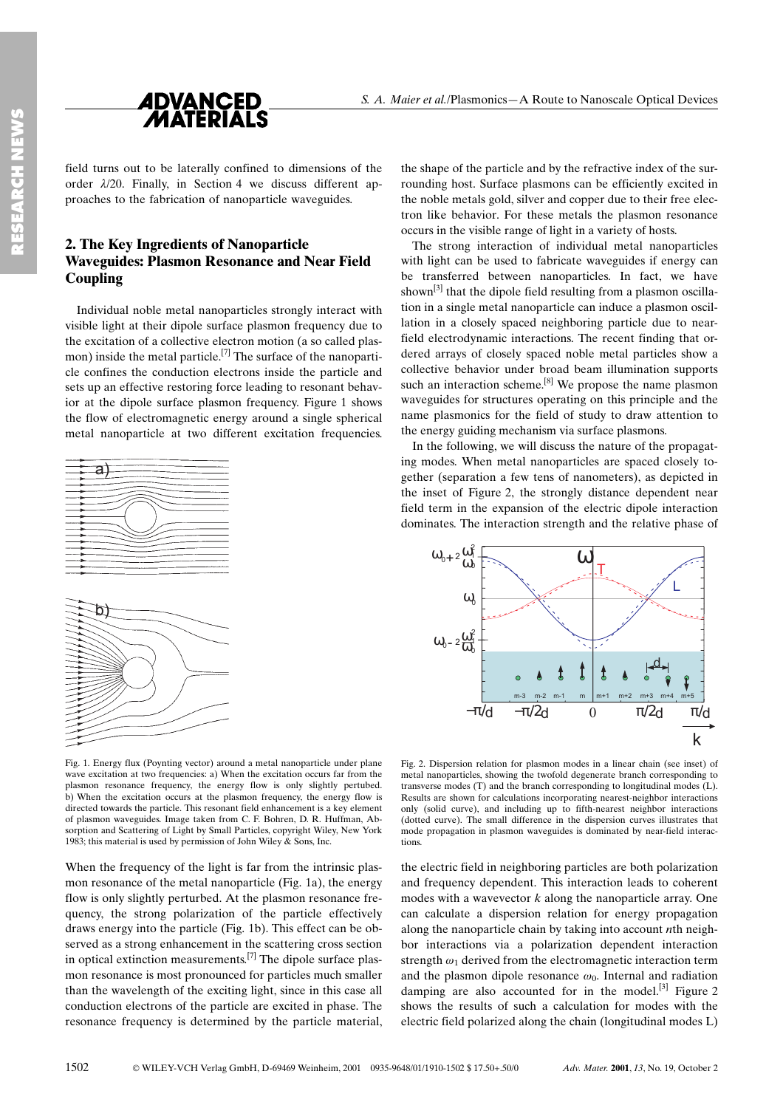

field turns out to be laterally confined to dimensions of the order  $\lambda/20$ . Finally, in Section 4 we discuss different approaches to the fabrication of nanoparticle waveguides.

### 2. The Key Ingredients of Nanoparticle Waveguides: Plasmon Resonance and Near Field **Coupling**

Individual noble metal nanoparticles strongly interact with visible light at their dipole surface plasmon frequency due to the excitation of a collective electron motion (a so called plasmon) inside the metal particle.[7] The surface of the nanoparticle confines the conduction electrons inside the particle and sets up an effective restoring force leading to resonant behavior at the dipole surface plasmon frequency. Figure 1 shows the flow of electromagnetic energy around a single spherical metal nanoparticle at two different excitation frequencies.



Fig. 1. Energy flux (Poynting vector) around a metal nanoparticle under plane wave excitation at two frequencies: a) When the excitation occurs far from the plasmon resonance frequency, the energy flow is only slightly pertubed. b) When the excitation occurs at the plasmon frequency, the energy flow is directed towards the particle. This resonant field enhancement is a key element of plasmon waveguides. Image taken from C. F. Bohren, D. R. Huffman, Absorption and Scattering of Light by Small Particles, copyright Wiley, New York 1983; this material is used by permission of John Wiley & Sons, Inc.

When the frequency of the light is far from the intrinsic plasmon resonance of the metal nanoparticle (Fig. 1a), the energy flow is only slightly perturbed. At the plasmon resonance frequency, the strong polarization of the particle effectively draws energy into the particle (Fig. 1b). This effect can be observed as a strong enhancement in the scattering cross section in optical extinction measurements.<sup>[7]</sup> The dipole surface plasmon resonance is most pronounced for particles much smaller than the wavelength of the exciting light, since in this case all conduction electrons of the particle are excited in phase. The resonance frequency is determined by the particle material,

the shape of the particle and by the refractive index of the surrounding host. Surface plasmons can be efficiently excited in the noble metals gold, silver and copper due to their free electron like behavior. For these metals the plasmon resonance occurs in the visible range of light in a variety of hosts.

The strong interaction of individual metal nanoparticles with light can be used to fabricate waveguides if energy can be transferred between nanoparticles. In fact, we have shown<sup>[3]</sup> that the dipole field resulting from a plasmon oscillation in a single metal nanoparticle can induce a plasmon oscillation in a closely spaced neighboring particle due to nearfield electrodynamic interactions. The recent finding that ordered arrays of closely spaced noble metal particles show a collective behavior under broad beam illumination supports such an interaction scheme.<sup>[8]</sup> We propose the name plasmon waveguides for structures operating on this principle and the name plasmonics for the field of study to draw attention to the energy guiding mechanism via surface plasmons.

In the following, we will discuss the nature of the propagating modes. When metal nanoparticles are spaced closely together (separation a few tens of nanometers), as depicted in the inset of Figure 2, the strongly distance dependent near field term in the expansion of the electric dipole interaction dominates. The interaction strength and the relative phase of



Fig. 2. Dispersion relation for plasmon modes in a linear chain (see inset) of metal nanoparticles, showing the twofold degenerate branch corresponding to transverse modes  $(T)$  and the branch corresponding to longitudinal modes  $(L)$ . Results are shown for calculations incorporating nearest-neighbor interactions only (solid curve), and including up to fifth-nearest neighbor interactions (dotted curve). The small difference in the dispersion curves illustrates that mode propagation in plasmon waveguides is dominated by near-field interactions.

the electric field in neighboring particles are both polarization and frequency dependent. This interaction leads to coherent modes with a wavevector  $k$  along the nanoparticle array. One can calculate a dispersion relation for energy propagation along the nanoparticle chain by taking into account nth neighbor interactions via a polarization dependent interaction strength  $\omega_1$  derived from the electromagnetic interaction term and the plasmon dipole resonance  $\omega_0$ . Internal and radiation damping are also accounted for in the model.<sup>[3]</sup> Figure 2 shows the results of such a calculation for modes with the electric field polarized along the chain (longitudinal modes L)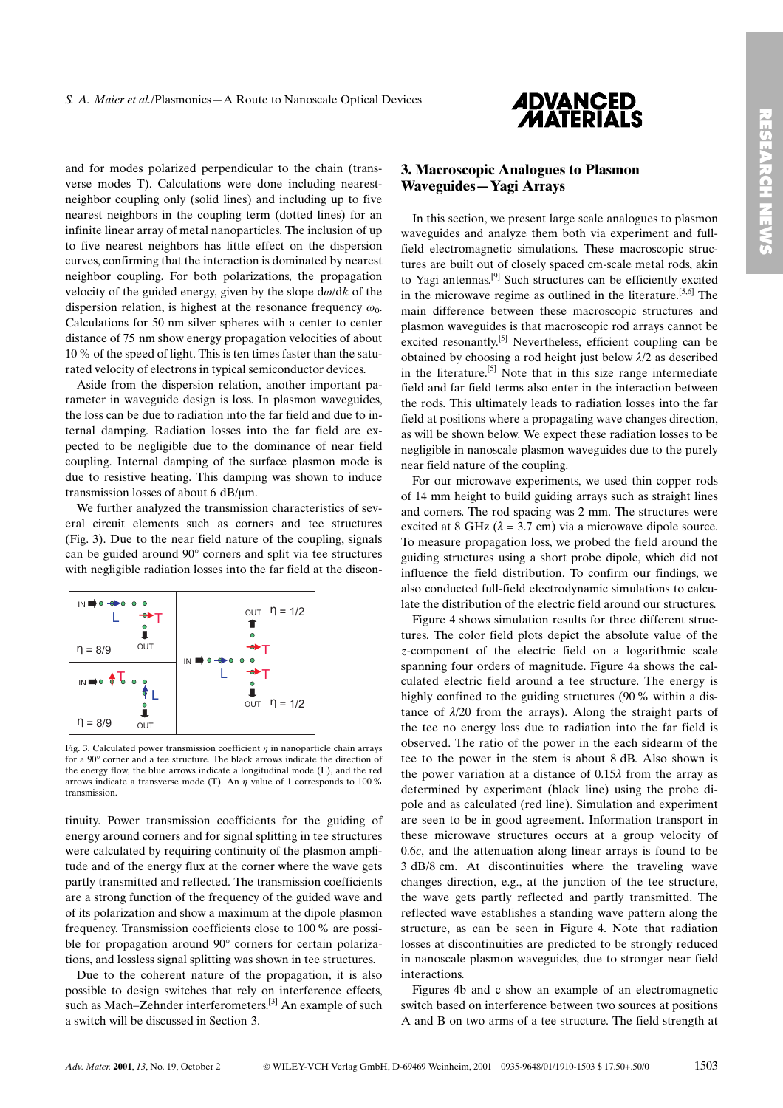

and for modes polarized perpendicular to the chain (transverse modes T). Calculations were done including nearestneighbor coupling only (solid lines) and including up to five nearest neighbors in the coupling term (dotted lines) for an infinite linear array of metal nanoparticles. The inclusion of up to five nearest neighbors has little effect on the dispersion curves, confirming that the interaction is dominated by nearest neighbor coupling. For both polarizations, the propagation velocity of the guided energy, given by the slope  $d\omega/dk$  of the dispersion relation, is highest at the resonance frequency  $\omega_0$ . Calculations for 50 nm silver spheres with a center to center distance of 75 nm show energy propagation velocities of about 10% of the speed of light. This is ten times faster than the saturated velocity of electrons in typical semiconductor devices.

Aside from the dispersion relation, another important parameter in waveguide design is loss. In plasmon waveguides, the loss can be due to radiation into the far field and due to internal damping. Radiation losses into the far field are expected to be negligible due to the dominance of near field coupling. Internal damping of the surface plasmon mode is due to resistive heating. This damping was shown to induce transmission losses of about 6  $dB/\mu m$ .

We further analyzed the transmission characteristics of several circuit elements such as corners and tee structures (Fig. 3). Due to the near field nature of the coupling, signals can be guided around 90° corners and split via tee structures with negligible radiation losses into the far field at the discon-



Fig. 3. Calculated power transmission coefficient  $\eta$  in nanoparticle chain arrays for a 90° corner and a tee structure. The black arrows indicate the direction of the energy flow, the blue arrows indicate a longitudinal mode (L), and the red arrows indicate a transverse mode (T). An  $\eta$  value of 1 corresponds to 100 % transmission.

tinuity. Power transmission coefficients for the guiding of energy around corners and for signal splitting in tee structures were calculated by requiring continuity of the plasmon amplitude and of the energy flux at the corner where the wave gets partly transmitted and reflected. The transmission coefficients are a strong function of the frequency of the guided wave and of its polarization and show a maximum at the dipole plasmon frequency. Transmission coefficients close to 100 % are possible for propagation around  $90^\circ$  corners for certain polarizations, and lossless signal splitting was shown in tee structures.

Due to the coherent nature of the propagation, it is also possible to design switches that rely on interference effects, such as Mach-Zehnder interferometers.<sup>[3]</sup> An example of such a switch will be discussed in Section 3.

## 3. Macroscopic Analogues to Plasmon Waveguides–Yagi Arrays

In this section, we present large scale analogues to plasmon waveguides and analyze them both via experiment and fullfield electromagnetic simulations. These macroscopic structures are built out of closely spaced cm-scale metal rods, akin to Yagi antennas.<sup>[9]</sup> Such structures can be efficiently excited in the microwave regime as outlined in the literature.<sup>[5,6]</sup> The main difference between these macroscopic structures and plasmon waveguides is that macroscopic rod arrays cannot be excited resonantly.[5] Nevertheless, efficient coupling can be obtained by choosing a rod height just below  $\lambda/2$  as described in the literature.<sup>[5]</sup> Note that in this size range intermediate field and far field terms also enter in the interaction between the rods. This ultimately leads to radiation losses into the far field at positions where a propagating wave changes direction, as will be shown below. We expect these radiation losses to be negligible in nanoscale plasmon waveguides due to the purely near field nature of the coupling.

For our microwave experiments, we used thin copper rods of 14 mm height to build guiding arrays such as straight lines and corners. The rod spacing was 2 mm. The structures were excited at 8 GHz  $(\lambda = 3.7 \text{ cm})$  via a microwave dipole source. To measure propagation loss, we probed the field around the guiding structures using a short probe dipole, which did not influence the field distribution. To confirm our findings, we also conducted full-field electrodynamic simulations to calculate the distribution of the electric field around our structures.

Figure 4 shows simulation results for three different structures. The color field plots depict the absolute value of the z-component of the electric field on a logarithmic scale spanning four orders of magnitude. Figure 4a shows the calculated electric field around a tee structure. The energy is highly confined to the guiding structures (90 % within a distance of  $\lambda$ /20 from the arrays). Along the straight parts of the tee no energy loss due to radiation into the far field is observed. The ratio of the power in the each sidearm of the tee to the power in the stem is about 8 dB. Also shown is the power variation at a distance of  $0.15\lambda$  from the array as determined by experiment (black line) using the probe dipole and as calculated (red line). Simulation and experiment are seen to be in good agreement. Information transport in these microwave structures occurs at a group velocity of 0.6c, and the attenuation along linear arrays is found to be 3 dB/8 cm. At discontinuities where the traveling wave changes direction, e.g., at the junction of the tee structure, the wave gets partly reflected and partly transmitted. The reflected wave establishes a standing wave pattern along the structure, as can be seen in Figure 4. Note that radiation losses at discontinuities are predicted to be strongly reduced in nanoscale plasmon waveguides, due to stronger near field interactions.

Figures 4b and c show an example of an electromagnetic switch based on interference between two sources at positions A and B on two arms of a tee structure. The field strength at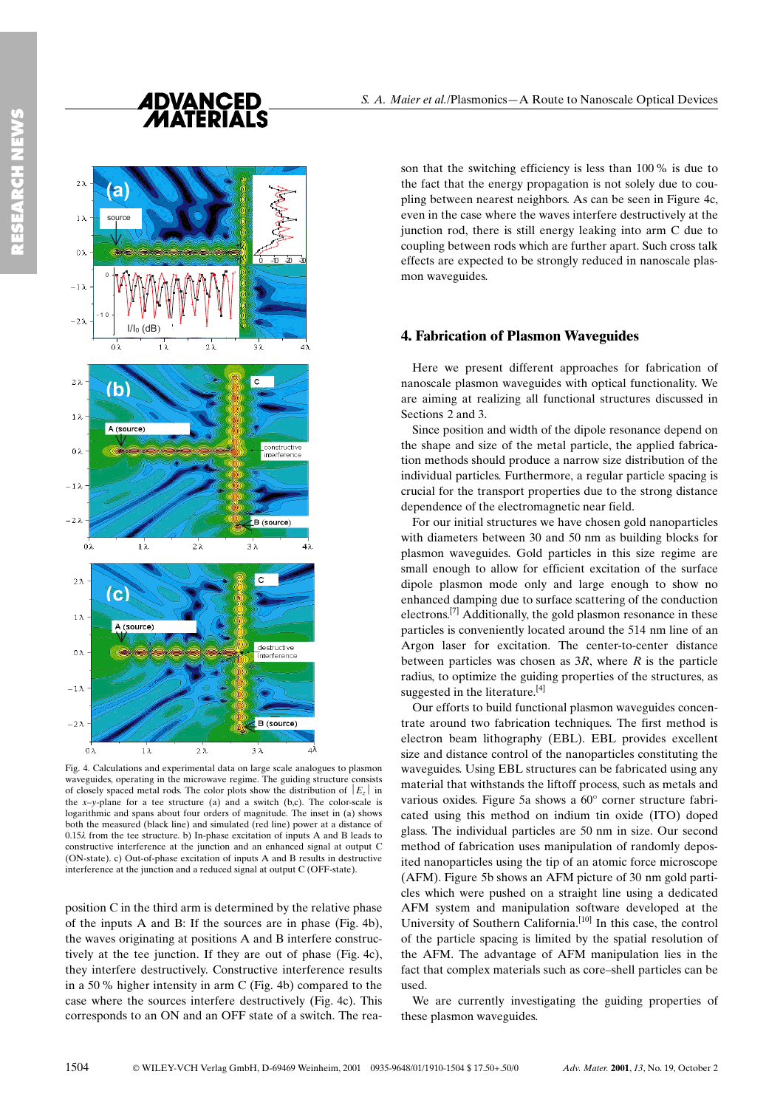

Fig. 4. Calculations and experimental data on large scale analogues to plasmon waveguides, operating in the microwave regime. The guiding structure consists of closely spaced metal rods. The color plots show the distribution of  $|E_z|$  in the  $x-y$ -plane for a tee structure (a) and a switch (b,c). The color-scale is logarithmic and spans about four orders of magnitude. The inset in (a) shows both the measured (black line) and simulated (red line) power at a distance of 0.15k from the tee structure. b) In-phase excitation of inputs A and B leads to constructive interference at the junction and an enhanced signal at output C (ON-state). c) Out-of-phase excitation of inputs A and B results in destructive interference at the junction and a reduced signal at output C (OFF-state).

position C in the third arm is determined by the relative phase of the inputs A and B: If the sources are in phase (Fig. 4b), the waves originating at positions A and B interfere constructively at the tee junction. If they are out of phase (Fig. 4c), they interfere destructively. Constructive interference results in a 50% higher intensity in arm C (Fig. 4b) compared to the case where the sources interfere destructively (Fig. 4c). This corresponds to an ON and an OFF state of a switch. The reason that the switching efficiency is less than 100% is due to the fact that the energy propagation is not solely due to coupling between nearest neighbors. As can be seen in Figure 4c, even in the case where the waves interfere destructively at the junction rod, there is still energy leaking into arm C due to coupling between rods which are further apart. Such cross talk effects are expected to be strongly reduced in nanoscale plasmon waveguides.

#### 4. Fabrication of Plasmon Waveguides

Here we present different approaches for fabrication of nanoscale plasmon waveguides with optical functionality. We are aiming at realizing all functional structures discussed in Sections 2 and 3.

Since position and width of the dipole resonance depend on the shape and size of the metal particle, the applied fabrication methods should produce a narrow size distribution of the individual particles. Furthermore, a regular particle spacing is crucial for the transport properties due to the strong distance dependence of the electromagnetic near field.

For our initial structures we have chosen gold nanoparticles with diameters between 30 and 50 nm as building blocks for plasmon waveguides. Gold particles in this size regime are small enough to allow for efficient excitation of the surface dipole plasmon mode only and large enough to show no enhanced damping due to surface scattering of the conduction electrons.[7] Additionally, the gold plasmon resonance in these particles is conveniently located around the 514 nm line of an Argon laser for excitation. The center-to-center distance between particles was chosen as  $3R$ , where R is the particle radius, to optimize the guiding properties of the structures, as suggested in the literature.<sup>[4]</sup>

Our efforts to build functional plasmon waveguides concentrate around two fabrication techniques. The first method is electron beam lithography (EBL). EBL provides excellent size and distance control of the nanoparticles constituting the waveguides. Using EBL structures can be fabricated using any material that withstands the liftoff process, such as metals and various oxides. Figure 5a shows a 60° corner structure fabricated using this method on indium tin oxide (ITO) doped glass. The individual particles are 50 nm in size. Our second method of fabrication uses manipulation of randomly deposited nanoparticles using the tip of an atomic force microscope (AFM). Figure 5b shows an AFM picture of 30 nm gold particles which were pushed on a straight line using a dedicated AFM system and manipulation software developed at the University of Southern California.<sup>[10]</sup> In this case, the control of the particle spacing is limited by the spatial resolution of the AFM. The advantage of AFM manipulation lies in the fact that complex materials such as core-shell particles can be used.

We are currently investigating the guiding properties of these plasmon waveguides.